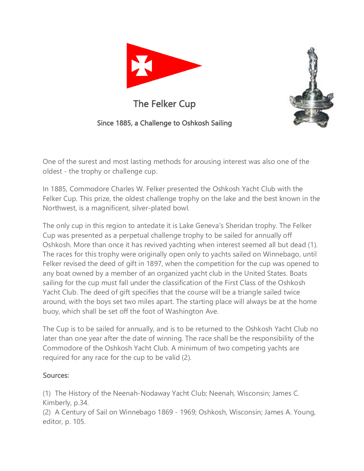

The Felker Cup

Since 1885, a Challenge to Oshkosh Sailing



One of the surest and most lasting methods for arousing interest was also one of the oldest - the trophy or challenge cup.

In 1885, Commodore Charles W. Felker presented the Oshkosh Yacht Club with the Felker Cup. This prize, the oldest challenge trophy on the lake and the best known in the Northwest, is a magnificent, silver-plated bowl.

The only cup in this region to antedate it is Lake Geneva's Sheridan trophy. The Felker Cup was presented as a perpetual challenge trophy to be sailed for annually off Oshkosh. More than once it has revived yachting when interest seemed all but dead (1). The races for this trophy were originally open only to yachts sailed on Winnebago, until Felker revised the deed of gift in 1897, when the competition for the cup was opened to any boat owned by a member of an organized yacht club in the United States. Boats sailing for the cup must fall under the classification of the First Class of the Oshkosh Yacht Club. The deed of gift specifies that the course will be a triangle sailed twice around, with the boys set two miles apart. The starting place will always be at the home buoy, which shall be set off the foot of Washington Ave.

The Cup is to be sailed for annually, and is to be returned to the Oshkosh Yacht Club no later than one year after the date of winning. The race shall be the responsibility of the Commodore of the Oshkosh Yacht Club. A minimum of two competing yachts are required for any race for the cup to be valid (2).

## Sources:

(1) The History of the Neenah-Nodaway Yacht Club; Neenah, Wisconsin; James C. Kimberly, p.34.

(2) A Century of Sail on Winnebago 1869 - 1969; Oshkosh, Wisconsin; James A. Young, editor, p. 105.